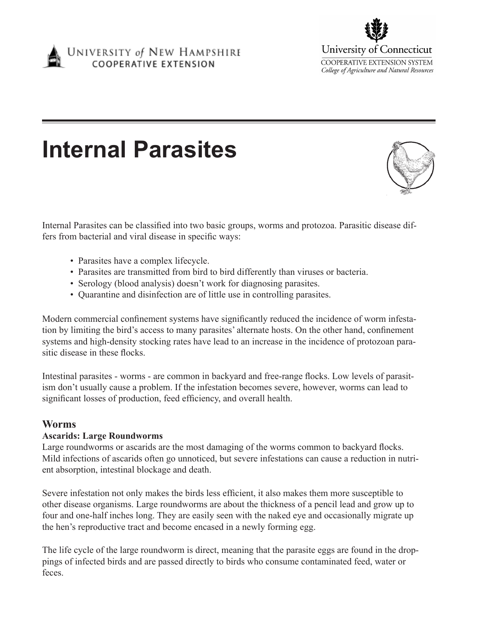



# **Internal Parasites**

Internal Parasites can be classified into two basic groups, worms and protozoa. Parasitic disease differs from bacterial and viral disease in specific ways:

- Parasites have a complex lifecycle.
- Parasites are transmitted from bird to bird differently than viruses or bacteria.
- Serology (blood analysis) doesn't work for diagnosing parasites.
- Quarantine and disinfection are of little use in controlling parasites.

Modern commercial confinement systems have significantly reduced the incidence of worm infestation by limiting the bird's access to many parasites' alternate hosts. On the other hand, confinement systems and high-density stocking rates have lead to an increase in the incidence of protozoan parasitic disease in these flocks.

Intestinal parasites - worms - are common in backyard and free-range flocks. Low levels of parasitism don't usually cause a problem. If the infestation becomes severe, however, worms can lead to significant losses of production, feed efficiency, and overall health.

# **Worms**

#### **Ascarids: Large Roundworms**

Large roundworms or ascarids are the most damaging of the worms common to backyard flocks. Mild infections of ascarids often go unnoticed, but severe infestations can cause a reduction in nutrient absorption, intestinal blockage and death.

Severe infestation not only makes the birds less efficient, it also makes them more susceptible to other disease organisms. Large roundworms are about the thickness of a pencil lead and grow up to four and one-half inches long. They are easily seen with the naked eye and occasionally migrate up the hen's reproductive tract and become encased in a newly forming egg.

The life cycle of the large roundworm is direct, meaning that the parasite eggs are found in the droppings of infected birds and are passed directly to birds who consume contaminated feed, water or feces.

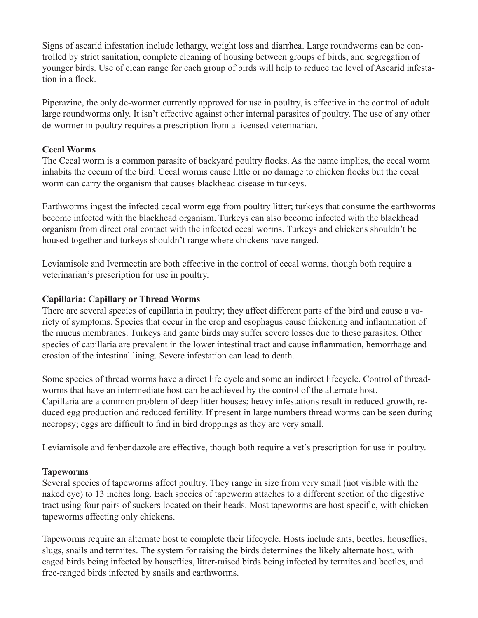Signs of ascarid infestation include lethargy, weight loss and diarrhea. Large roundworms can be controlled by strict sanitation, complete cleaning of housing between groups of birds, and segregation of younger birds. Use of clean range for each group of birds will help to reduce the level of Ascarid infestation in a flock.

Piperazine, the only de-wormer currently approved for use in poultry, is effective in the control of adult large roundworms only. It isn't effective against other internal parasites of poultry. The use of any other de-wormer in poultry requires a prescription from a licensed veterinarian.

### **Cecal Worms**

The Cecal worm is a common parasite of backyard poultry flocks. As the name implies, the cecal worm inhabits the cecum of the bird. Cecal worms cause little or no damage to chicken flocks but the cecal worm can carry the organism that causes blackhead disease in turkeys.

Earthworms ingest the infected cecal worm egg from poultry litter; turkeys that consume the earthworms become infected with the blackhead organism. Turkeys can also become infected with the blackhead organism from direct oral contact with the infected cecal worms. Turkeys and chickens shouldn't be housed together and turkeys shouldn't range where chickens have ranged.

Leviamisole and Ivermectin are both effective in the control of cecal worms, though both require a veterinarian's prescription for use in poultry.

# **Capillaria: Capillary or Thread Worms**

There are several species of capillaria in poultry; they affect different parts of the bird and cause a variety of symptoms. Species that occur in the crop and esophagus cause thickening and inflammation of the mucus membranes. Turkeys and game birds may suffer severe losses due to these parasites. Other species of capillaria are prevalent in the lower intestinal tract and cause inflammation, hemorrhage and erosion of the intestinal lining. Severe infestation can lead to death.

Some species of thread worms have a direct life cycle and some an indirect lifecycle. Control of threadworms that have an intermediate host can be achieved by the control of the alternate host. Capillaria are a common problem of deep litter houses; heavy infestations result in reduced growth, reduced egg production and reduced fertility. If present in large numbers thread worms can be seen during necropsy; eggs are difficult to find in bird droppings as they are very small.

Leviamisole and fenbendazole are effective, though both require a vet's prescription for use in poultry.

# **Tapeworms**

Several species of tapeworms affect poultry. They range in size from very small (not visible with the naked eye) to 13 inches long. Each species of tapeworm attaches to a different section of the digestive tract using four pairs of suckers located on their heads. Most tapeworms are host-specific, with chicken tapeworms affecting only chickens.

Tapeworms require an alternate host to complete their lifecycle. Hosts include ants, beetles, houseflies, slugs, snails and termites. The system for raising the birds determines the likely alternate host, with caged birds being infected by houseflies, litter-raised birds being infected by termites and beetles, and free-ranged birds infected by snails and earthworms.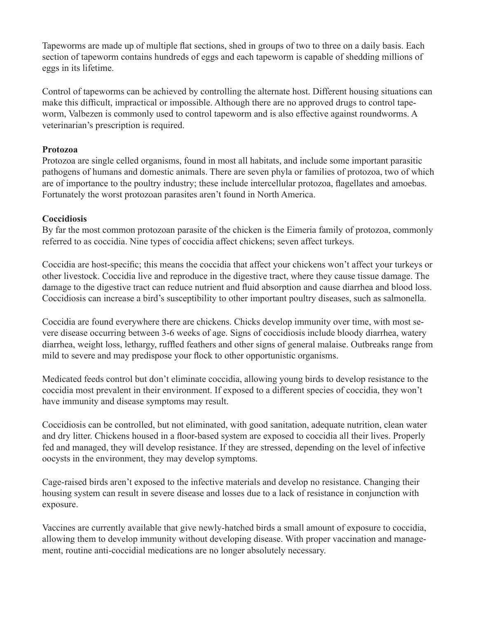Tapeworms are made up of multiple flat sections, shed in groups of two to three on a daily basis. Each section of tapeworm contains hundreds of eggs and each tapeworm is capable of shedding millions of eggs in its lifetime.

Control of tapeworms can be achieved by controlling the alternate host. Different housing situations can make this difficult, impractical or impossible. Although there are no approved drugs to control tapeworm, Valbezen is commonly used to control tapeworm and is also effective against roundworms. A veterinarian's prescription is required.

#### **Protozoa**

Protozoa are single celled organisms, found in most all habitats, and include some important parasitic pathogens of humans and domestic animals. There are seven phyla or families of protozoa, two of which are of importance to the poultry industry; these include intercellular protozoa, flagellates and amoebas. Fortunately the worst protozoan parasites aren't found in North America.

#### **Coccidiosis**

By far the most common protozoan parasite of the chicken is the Eimeria family of protozoa, commonly referred to as coccidia. Nine types of coccidia affect chickens; seven affect turkeys.

Coccidia are host-specific; this means the coccidia that affect your chickens won't affect your turkeys or other livestock. Coccidia live and reproduce in the digestive tract, where they cause tissue damage. The damage to the digestive tract can reduce nutrient and fluid absorption and cause diarrhea and blood loss. Coccidiosis can increase a bird's susceptibility to other important poultry diseases, such as salmonella.

Coccidia are found everywhere there are chickens. Chicks develop immunity over time, with most severe disease occurring between 3-6 weeks of age. Signs of coccidiosis include bloody diarrhea, watery diarrhea, weight loss, lethargy, ruffled feathers and other signs of general malaise. Outbreaks range from mild to severe and may predispose your flock to other opportunistic organisms.

Medicated feeds control but don't eliminate coccidia, allowing young birds to develop resistance to the coccidia most prevalent in their environment. If exposed to a different species of coccidia, they won't have immunity and disease symptoms may result.

Coccidiosis can be controlled, but not eliminated, with good sanitation, adequate nutrition, clean water and dry litter. Chickens housed in a floor-based system are exposed to coccidia all their lives. Properly fed and managed, they will develop resistance. If they are stressed, depending on the level of infective oocysts in the environment, they may develop symptoms.

Cage-raised birds aren't exposed to the infective materials and develop no resistance. Changing their housing system can result in severe disease and losses due to a lack of resistance in conjunction with exposure.

Vaccines are currently available that give newly-hatched birds a small amount of exposure to coccidia, allowing them to develop immunity without developing disease. With proper vaccination and management, routine anti-coccidial medications are no longer absolutely necessary.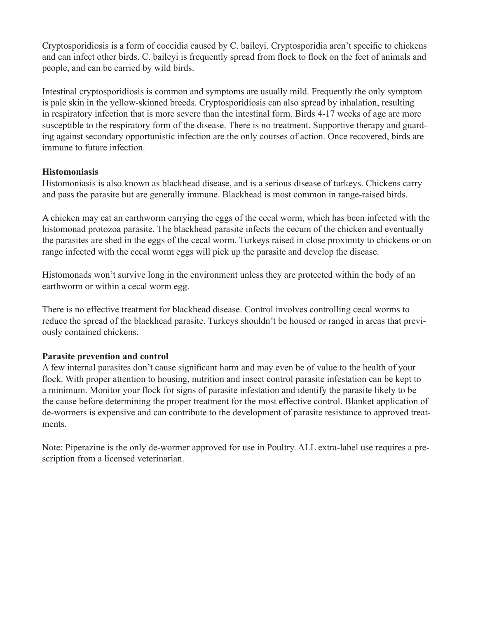Cryptosporidiosis is a form of coccidia caused by C. baileyi. Cryptosporidia aren't specific to chickens and can infect other birds. C. baileyi is frequently spread from flock to flock on the feet of animals and people, and can be carried by wild birds.

Intestinal cryptosporidiosis is common and symptoms are usually mild. Frequently the only symptom is pale skin in the yellow-skinned breeds. Cryptosporidiosis can also spread by inhalation, resulting in respiratory infection that is more severe than the intestinal form. Birds 4-17 weeks of age are more susceptible to the respiratory form of the disease. There is no treatment. Supportive therapy and guarding against secondary opportunistic infection are the only courses of action. Once recovered, birds are immune to future infection.

#### **Histomoniasis**

Histomoniasis is also known as blackhead disease, and is a serious disease of turkeys. Chickens carry and pass the parasite but are generally immune. Blackhead is most common in range-raised birds.

A chicken may eat an earthworm carrying the eggs of the cecal worm, which has been infected with the histomonad protozoa parasite. The blackhead parasite infects the cecum of the chicken and eventually the parasites are shed in the eggs of the cecal worm. Turkeys raised in close proximity to chickens or on range infected with the cecal worm eggs will pick up the parasite and develop the disease.

Histomonads won't survive long in the environment unless they are protected within the body of an earthworm or within a cecal worm egg.

There is no effective treatment for blackhead disease. Control involves controlling cecal worms to reduce the spread of the blackhead parasite. Turkeys shouldn't be housed or ranged in areas that previously contained chickens.

#### **Parasite prevention and control**

A few internal parasites don't cause significant harm and may even be of value to the health of your flock. With proper attention to housing, nutrition and insect control parasite infestation can be kept to a minimum. Monitor your flock for signs of parasite infestation and identify the parasite likely to be the cause before determining the proper treatment for the most effective control. Blanket application of de-wormers is expensive and can contribute to the development of parasite resistance to approved treatments.

Note: Piperazine is the only de-wormer approved for use in Poultry. ALL extra-label use requires a prescription from a licensed veterinarian.